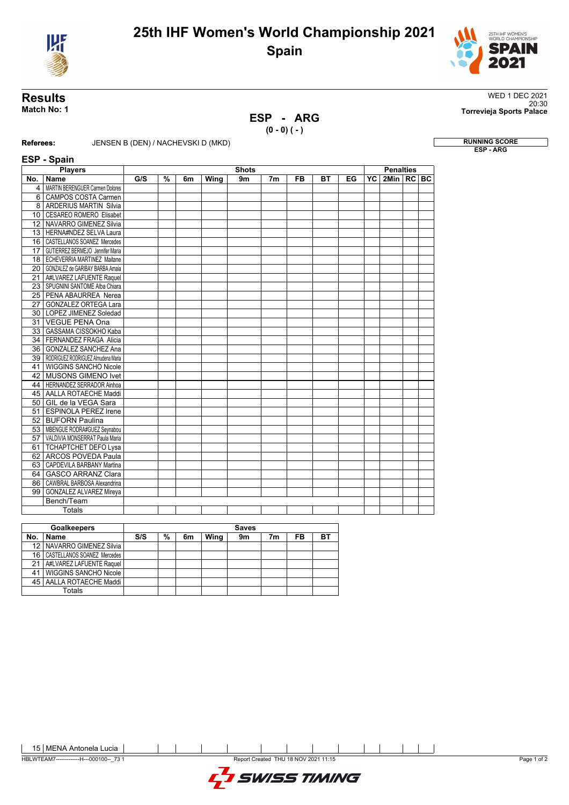



## **ESP - ARG**

**(0 - 0) ( - )**

**Results** WED 1 DEC 2021 20:30 **Match No: 1 Torrevieja Sports Palace**

**RUNNING SCORE**<br>ESP - ARG

## **Referees:** JENSEN B (DEN) / NACHEVSKI D (MKD) **ESP 0-4-1**

|                 | <b>Players</b>                         | <b>Shots</b> |   |    |      |    |                |           |    |    |    | <b>Penalties</b> |  |  |  |
|-----------------|----------------------------------------|--------------|---|----|------|----|----------------|-----------|----|----|----|------------------|--|--|--|
| No.             | <b>Name</b>                            | G/S          | % | 6m | Wing | 9m | 7 <sub>m</sub> | <b>FB</b> | вт | EG | YC | 2Min   RC   BC   |  |  |  |
| $\overline{4}$  | <b>MARTIN BERENGUER Carmen Dolores</b> |              |   |    |      |    |                |           |    |    |    |                  |  |  |  |
|                 | 6 CAMPOS COSTA Carmen                  |              |   |    |      |    |                |           |    |    |    |                  |  |  |  |
|                 | 8 ARDERIUS MARTIN Silvia               |              |   |    |      |    |                |           |    |    |    |                  |  |  |  |
|                 | 10   CESAREO ROMERO Elisabet           |              |   |    |      |    |                |           |    |    |    |                  |  |  |  |
|                 | 12 NAVARRO GIMENEZ Silvia              |              |   |    |      |    |                |           |    |    |    |                  |  |  |  |
|                 | 13 HERNA#NDEZ SELVA Laura              |              |   |    |      |    |                |           |    |    |    |                  |  |  |  |
|                 | 16   CASTELLANOS SOANEZ Mercedes       |              |   |    |      |    |                |           |    |    |    |                  |  |  |  |
| 17 <sup>1</sup> | GUTIERREZ BERMEJO Jennifer Maria       |              |   |    |      |    |                |           |    |    |    |                  |  |  |  |
|                 | 18   ECHEVERRIA MARTINEZ Maitane       |              |   |    |      |    |                |           |    |    |    |                  |  |  |  |
| 20 <sub>1</sub> | GONZALEZ de GARIBAY BARBA Amaia        |              |   |    |      |    |                |           |    |    |    |                  |  |  |  |
|                 | 21   A#LVAREZ LAFUENTE Raquel          |              |   |    |      |    |                |           |    |    |    |                  |  |  |  |
|                 | 23   SPUGNINI SANTOME Alba Chiara      |              |   |    |      |    |                |           |    |    |    |                  |  |  |  |
|                 | 25   PENA ABAURREA Nerea               |              |   |    |      |    |                |           |    |    |    |                  |  |  |  |
|                 | 27   GONZALEZ ORTEGA Lara              |              |   |    |      |    |                |           |    |    |    |                  |  |  |  |
|                 | 30   LOPEZ JIMENEZ Soledad             |              |   |    |      |    |                |           |    |    |    |                  |  |  |  |
|                 | 31   VEGUE PENA Ona                    |              |   |    |      |    |                |           |    |    |    |                  |  |  |  |
| 33 <sup>1</sup> | GASSAMA CISSOKHO Kaba                  |              |   |    |      |    |                |           |    |    |    |                  |  |  |  |
| 34              | FERNANDEZ FRAGA Alicia                 |              |   |    |      |    |                |           |    |    |    |                  |  |  |  |
|                 | 36 GONZALEZ SANCHEZ Ana                |              |   |    |      |    |                |           |    |    |    |                  |  |  |  |
|                 | 39 RODRIGUEZ RODRIGUEZ Almudena Maria  |              |   |    |      |    |                |           |    |    |    |                  |  |  |  |
| 41              | <b>WIGGINS SANCHO Nicole</b>           |              |   |    |      |    |                |           |    |    |    |                  |  |  |  |
| 42              | <b>MUSONS GIMENO Ivet</b>              |              |   |    |      |    |                |           |    |    |    |                  |  |  |  |
|                 | 44   HERNANDEZ SERRADOR Ainhoa         |              |   |    |      |    |                |           |    |    |    |                  |  |  |  |
|                 | 45 AALLA ROTAECHE Maddi                |              |   |    |      |    |                |           |    |    |    |                  |  |  |  |
| 50 <sub>1</sub> | GIL de la VEGA Sara                    |              |   |    |      |    |                |           |    |    |    |                  |  |  |  |
| 51              | <b>ESPINOLA PEREZ Irene</b>            |              |   |    |      |    |                |           |    |    |    |                  |  |  |  |
| 52              | <b>BUFORN Paulina</b>                  |              |   |    |      |    |                |           |    |    |    |                  |  |  |  |
|                 | 53   MBENGUE RODRA#GUEZ Seynabou       |              |   |    |      |    |                |           |    |    |    |                  |  |  |  |
|                 | 57 VALDIVIA MONSERRAT Paula Maria      |              |   |    |      |    |                |           |    |    |    |                  |  |  |  |
|                 | 61 TCHAPTCHET DEFO Lysa                |              |   |    |      |    |                |           |    |    |    |                  |  |  |  |
|                 | 62 ARCOS POVEDA Paula                  |              |   |    |      |    |                |           |    |    |    |                  |  |  |  |
|                 | 63 CAPDEVILA BARBANY Martina           |              |   |    |      |    |                |           |    |    |    |                  |  |  |  |
|                 | 64   GASCO ARRANZ Clara                |              |   |    |      |    |                |           |    |    |    |                  |  |  |  |
| 86 l            | CAWBRAL BARBOSA Alexandrina            |              |   |    |      |    |                |           |    |    |    |                  |  |  |  |
| 99              | <b>GONZALEZ ALVAREZ Mireya</b>         |              |   |    |      |    |                |           |    |    |    |                  |  |  |  |
|                 | Bench/Team                             |              |   |    |      |    |                |           |    |    |    |                  |  |  |  |
|                 | Totals                                 |              |   |    |      |    |                |           |    |    |    |                  |  |  |  |

| <b>Goalkeepers</b> |                                  | <b>Saves</b> |   |    |      |    |    |    |    |  |  |  |
|--------------------|----------------------------------|--------------|---|----|------|----|----|----|----|--|--|--|
| No.                | <b>Name</b>                      | S/S          | % | 6m | Wing | 9m | 7m | FB | вт |  |  |  |
|                    | 12 NAVARRO GIMENEZ Silvia        |              |   |    |      |    |    |    |    |  |  |  |
|                    | 16   CASTELLANOS SOANEZ Mercedes |              |   |    |      |    |    |    |    |  |  |  |
|                    | 21   A#LVAREZ LAFUENTE Raquel    |              |   |    |      |    |    |    |    |  |  |  |
|                    | <b>WIGGINS SANCHO Nicole</b>     |              |   |    |      |    |    |    |    |  |  |  |
|                    | 45   AALLA ROTAECHE Maddi        |              |   |    |      |    |    |    |    |  |  |  |
|                    | Totals                           |              |   |    |      |    |    |    |    |  |  |  |

15 MENA Antonela Lucia

HBLWTEAM7-------------H---000100--\_73 1 Report Created THU 18 NOV 2021 11:15